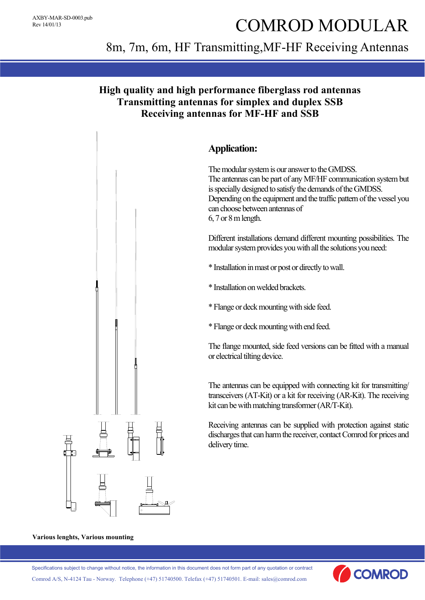# COMROD MODULAR

# 8m, 7m, 6m, HF Transmitting,MF-HF Receiving Antennas

## **High quality and high performance fiberglass rod antennas Transmitting antennas for simplex and duplex SSB Receiving antennas for MF-HF and SSB**



#### **Various lenghts, Various mounting**

Specifications subject to change without notice, the information in this document does not form part of any quotation or contract

Comrod A/S, N-4124 Tau - Norway. Telephone (+47) 51740500. Telefax (+47) 51740501. E-mail: sales@comrod.com

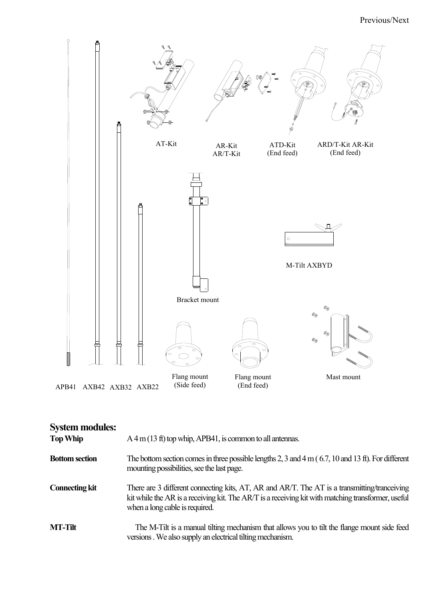

| <b>System modules:</b><br><b>Top Whip</b> | $A$ 4 m (13 ft) top whip, APB41, is common to all antennas.                                                                                                                                                                          |
|-------------------------------------------|--------------------------------------------------------------------------------------------------------------------------------------------------------------------------------------------------------------------------------------|
| <b>Bottom section</b>                     | The bottom section comes in three possible lengths 2, 3 and 4 m $(6.7, 10$ and 13 ft). For different<br>mounting possibilities, see the last page.                                                                                   |
| <b>Connecting kit</b>                     | There are 3 different connecting kits, AT, AR and AR/T. The AT is a transmitting/tranceiving<br>kit while the AR is a receiving kit. The AR/T is a receiving kit with matching transformer, useful<br>when a long cable is required. |
| <b>MT-Tilt</b>                            | The M-Tilt is a manual tilting mechanism that allows you to tilt the flange mount side feed<br>versions. We also supply an electrical tilting mechanism.                                                                             |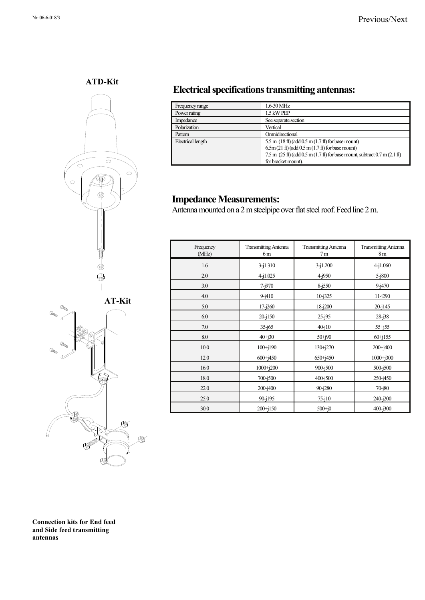**ATD-Kit** 





# **Electrical specifications transmitting antennas:**

| Frequency range   | $1.6 - 30$ MHz                                                                                                                       |
|-------------------|--------------------------------------------------------------------------------------------------------------------------------------|
| Power rating      | 1.5 kW PEP                                                                                                                           |
| Impedance         | See separate section                                                                                                                 |
| Polarization      | Vertical                                                                                                                             |
| Pattern           | Omnidirectional                                                                                                                      |
| Electrical length | 5.5 m $(18 \text{ ft})$ (add $0.5 \text{ m} (1.7 \text{ ft})$ for base mount)<br>$6.5m(21 ft)$ (add $0.5m(1.7 ft)$ ) for base mount) |
|                   | $7.5$ m $(25 \text{ ft})$ (add $0.5$ m $(1.7 \text{ ft})$ for base mount, subtract $0.7$ m $(2.1 \text{ ft})$<br>for bracket mount). |

#### **Impedance Measurements:**

Antenna mounted on a 2 m steelpipe over flat steel roof. Feed line 2 m.

| Frequency<br>(MHz) | <b>Transmitting Antenna</b><br>6 m | <b>Transmitting Antenna</b><br>7 <sub>m</sub> | <b>Transmitting Antenna</b><br>8 <sub>m</sub> |
|--------------------|------------------------------------|-----------------------------------------------|-----------------------------------------------|
| 1.6                | $3 - j1.310$                       | $3 - i1.200$                                  | $4 - i1.060$                                  |
| 2.0                | $4 - i1.025$                       | $4 - j950$                                    | $5 - i800$                                    |
| 3.0                | $7 - j970$                         | $8 - 1550$                                    | $9 - i470$                                    |
| 4.0                | $9 - 1410$                         | $10 - j325$                                   | $11 - j290$                                   |
| 5.0                | $17 - j260$                        | 18-j200                                       | $20 - 145$                                    |
| 6.0                | 20-j150                            | $25 - j95$                                    | $28 - j38$                                    |
| 7.0                | $35 - j65$                         | $40 - j10$                                    | $55 + j55$                                    |
| 8.0                | $40 + j30$                         | $50+190$                                      | $60 + j155$                                   |
| 10.0               | $100 + j190$                       | $130 + j270$                                  | $200 + j400$                                  |
| 12.0               | $600 + j450$                       | $650 + j450$                                  | $1000 + j300$                                 |
| 16.0               | $1000 + j200$                      | 900-j500                                      | $500 - j500$                                  |
| 18.0               | 700-j500                           | $400 - j500$                                  | $250 - j450$                                  |
| 22.0               | 200-j400                           | 90-j280                                       | $70 - j80$                                    |
| 25.0               | 90-j195                            | $75 - j10$                                    | $240 - j200$                                  |
| 30.0               | $200 + j150$                       | $500 + j0$                                    | 400-j300                                      |

**Connection kits for End feed and Side feed transmitting antennas**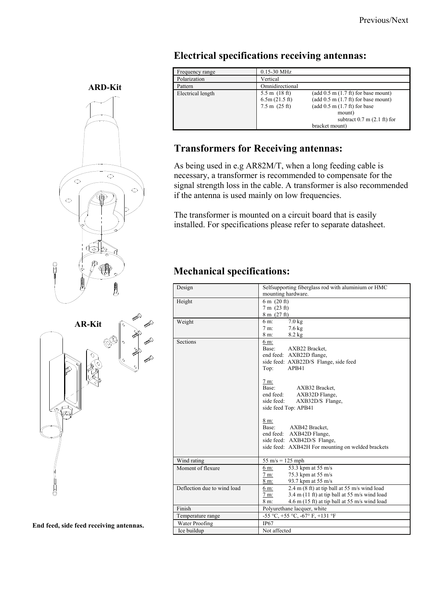| Frequency range   | 0.15-30 MHz                                                         |                                                                                                                                                                                                     |
|-------------------|---------------------------------------------------------------------|-----------------------------------------------------------------------------------------------------------------------------------------------------------------------------------------------------|
| Polarization      | Vertical                                                            |                                                                                                                                                                                                     |
| Pattern           | Omnidirectional                                                     |                                                                                                                                                                                                     |
| Electrical length | $5.5 \text{ m}$ (18 ft)<br>6.5m(21.5 ft)<br>$7.5 \text{ m}$ (25 ft) | (add $0.5$ m $(1.7 \text{ ft})$ for base mount)<br>(add $0.5$ m $(1.7 \text{ ft})$ for base mount)<br>(add $0.5$ m $(1.7 \text{ ft})$ for base<br>mount)<br>subtract $0.7$ m $(2.1 \text{ ft})$ for |
|                   |                                                                     | bracket mount)                                                                                                                                                                                      |

## **Electrical specifications receiving antennas:**

# **Transformers for Receiving antennas:**

As being used in e.g AR82M/T, when a long feeding cable is necessary, a transformer is recommended to compensate for the signal strength loss in the cable. A transformer is also recommended if the antenna is used mainly on low frequencies.

The transformer is mounted on a circuit board that is easily installed. For specifications please refer to separate datasheet.

## **Mechanical specifications:**

| Design                      | Selfsupporting fiberglass rod with aluminium or HMC<br>mounting hardware.                                                                                                                                                                                                                                                                                                                                               |  |  |
|-----------------------------|-------------------------------------------------------------------------------------------------------------------------------------------------------------------------------------------------------------------------------------------------------------------------------------------------------------------------------------------------------------------------------------------------------------------------|--|--|
| Height                      | $6 \text{ m}$ (20 ft)<br>7 m (23 ft)<br>8 m (27 ft)                                                                                                                                                                                                                                                                                                                                                                     |  |  |
| Weight                      | $7.0$ kg<br>6 m:<br>$7.6 \text{ kg}$<br>$7m$ :<br>8 m:<br>$8.2$ kg                                                                                                                                                                                                                                                                                                                                                      |  |  |
| Sections                    | 6 m:<br>AXB22 Bracket,<br>Base:<br>end feed: AXB22D flange,<br>side feed: AXB22D/S Flange, side feed<br>Top:<br>APB41<br>$7 \text{ m}$ :<br>Base:<br>AXB32 Bracket,<br>end feed: AXB32D Flange,<br>side feed:<br>AXB32D/S Flange,<br>side feed Top: APB41<br>$8 \text{ m}$ :<br>Base:<br>AXB42 Bracket,<br>end feed: AXB42D Flange,<br>side feed: AXB42D/S Flange,<br>side feed: AXB42H For mounting on welded brackets |  |  |
| Wind rating                 | $55 \text{ m/s} = 125 \text{ mph}$                                                                                                                                                                                                                                                                                                                                                                                      |  |  |
| Moment of flexure           | 53.3 kpm at 55 m/s<br>6 m:<br>75.3 kpm at 55 m/s<br>$7 \text{ m}$ :<br>93.7 kpm at 55 m/s<br>8 m:                                                                                                                                                                                                                                                                                                                       |  |  |
| Deflection due to wind load | 2.4 m (8 ft) at tip ball at 55 m/s wind load<br>6 m:<br>$3.4 \text{ m}$ (11 ft) at tip ball at 55 m/s wind load<br>$7 m$ :<br>$4.6$ m (15 ft) at tip ball at 55 m/s wind load<br>$8m$ :                                                                                                                                                                                                                                 |  |  |
| Finish                      | Polyurethane lacquer, white                                                                                                                                                                                                                                                                                                                                                                                             |  |  |
| Temperature range           | -55 °C, +55 °C, -67° F, +131 °F                                                                                                                                                                                                                                                                                                                                                                                         |  |  |
| Water Proofing              | IP67                                                                                                                                                                                                                                                                                                                                                                                                                    |  |  |
| Ice buildup                 | Not affected                                                                                                                                                                                                                                                                                                                                                                                                            |  |  |





**End feed, side feed receiving antennas.**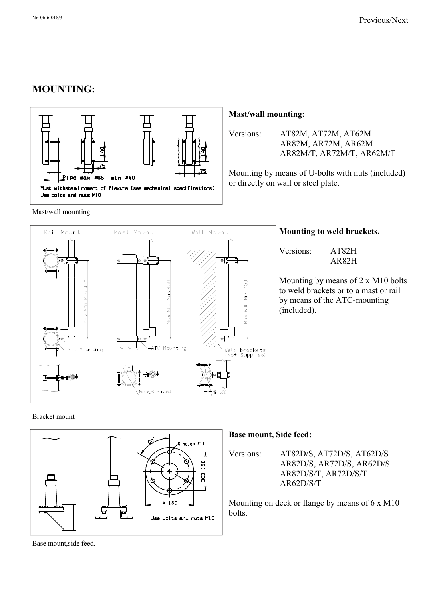# **MOUNTING:**



Mast/wall mounting.

#### **Mast/wall mounting:**

Versions: AT82M, AT72M, AT62M AR82M, AR72M, AR62M AR82M/T, AR72M/T, AR62M/T

Mounting by means of U-bolts with nuts (included) or directly on wall or steel plate.



#### **Mounting to weld brackets.**

Versions: AT82H AR82H

Mounting by means of 2 x M10 bolts to weld brackets or to a mast or rail by means of the ATC-mounting (included).

#### Bracket mount

**Base mount, Side feed:** holes #11 Versions: AT82D/S, AT72D/S, AT62D/S AR82D/S, AR72D/S, AR62D/S AR82D/S/T, AR72D/S/T AR62D/S/T Mounting on deck or flange by means of 6 x M10  $160$ bolts. Use bolts and nuts M10

Base mount,side feed.